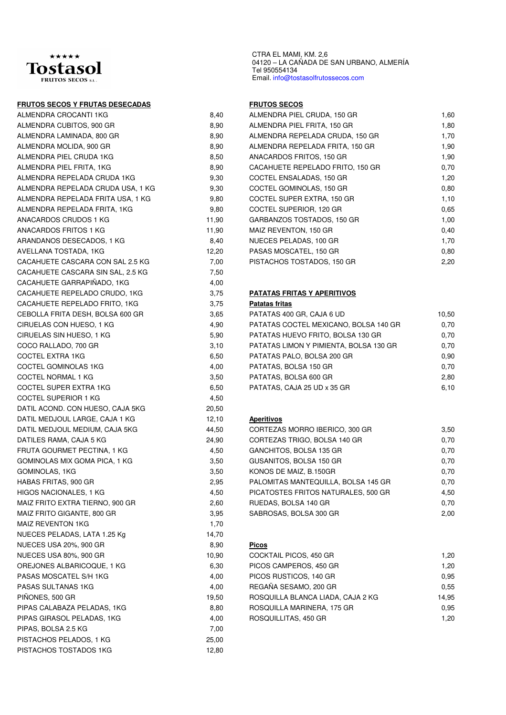

# **FRUTOS SECOS Y FRUTAS DESECADAS FRUTOS SECOS**

| ALMENDRA CROCANTI 1KG             | 8,40  | ALME              |
|-----------------------------------|-------|-------------------|
| ALMENDRA CUBITOS, 900 GR          | 8,90  | <b>ALME</b>       |
| ALMENDRA LAMINADA, 800 GR         | 8,90  | ALME              |
| ALMENDRA MOLIDA, 900 GR           | 8,90  | ALME              |
| ALMENDRA PIEL CRUDA 1KG           | 8,50  | <b>ANAC</b>       |
| ALMENDRA PIEL FRITA, 1KG          | 8,90  | CACA              |
| ALMENDRA REPELADA CRUDA 1KG       | 9,30  | COCT              |
| ALMENDRA REPELADA CRUDA USA, 1 KG | 9,30  | COCT              |
| ALMENDRA REPELADA FRITA USA, 1 KG | 9,80  | COCT              |
| ALMENDRA REPELADA FRITA, 1KG      | 9,80  | COCT              |
| ANACARDOS CRUDOS 1 KG             | 11,90 | GARE              |
| ANACARDOS FRITOS 1 KG             | 11,90 | MAIZ              |
| ARANDANOS DESECADOS, 1 KG         | 8,40  | <b>NUEC</b>       |
| AVELLANA TOSTADA, 1KG             | 12,20 | PASA              |
| CACAHUETE CASCARA CON SAL 2.5 KG  | 7,00  | PISTA             |
| CACAHUETE CASCARA SIN SAL, 2.5 KG | 7,50  |                   |
| CACAHUETE GARRAPIÑADO, 1KG        | 4,00  |                   |
| CACAHUETE REPELADO CRUDO, 1KG     | 3,75  | <b>PATA</b>       |
| CACAHUETE REPELADO FRITO, 1KG     | 3,75  | Patata            |
| CEBOLLA FRITA DESH, BOLSA 600 GR  | 3,65  | <b>PATA</b>       |
| CIRUELAS CON HUESO, 1 KG          | 4,90  | PATA              |
| CIRUELAS SIN HUESO, 1 KG          | 5,90  | PATA              |
| COCO RALLADO, 700 GR              | 3,10  | PATA              |
| <b>COCTEL EXTRA 1KG</b>           | 6,50  | <b>PATA</b>       |
| COCTEL GOMINOLAS 1KG              | 4,00  | PATA              |
| COCTEL NORMAL 1 KG                | 3,50  | <b>PATA</b>       |
| COCTEL SUPER EXTRA 1KG            | 6,50  | PATA              |
| <b>COCTEL SUPERIOR 1 KG</b>       | 4,50  |                   |
| DATIL ACOND. CON HUESO, CAJA 5KG  | 20,50 |                   |
| DATIL MEDJOUL LARGE, CAJA 1 KG    | 12,10 | <u>Aperit</u>     |
| DATIL MEDJOUL MEDIUM, CAJA 5KG    | 44,50 | CORT              |
| DATILES RAMA, CAJA 5 KG           | 24,90 | CORT              |
| FRUTA GOURMET PECTINA, 1 KG       | 4,50  | GANC              |
| GOMINOLAS MIX GOMA PICA, 1 KG     | 3,50  | <b>GUSA</b>       |
| GOMINOLAS, 1KG                    | 3,50  | <b>KONC</b>       |
| HABAS FRITAS, 900 GR              | 2,95  | <b>PALO</b>       |
| HIGOS NACIONALES, 1 KG            | 4,50  | PICA <sub>1</sub> |
| MAIZ FRITO EXTRA TIERNO, 900 GR   | 2,60  | <b>RUED</b>       |
| MAIZ FRITO GIGANTE, 800 GR        | 3,95  | <b>SABR</b>       |
| <b>MAIZ REVENTON 1KG</b>          | 1,70  |                   |
| NUECES PELADAS, LATA 1.25 Kg      | 14,70 |                   |
| <b>NUECES USA 20%, 900 GR</b>     | 8,90  | <b>Picos</b>      |
| <b>NUECES USA 80%, 900 GR</b>     | 10,90 | COCK              |
| OREJONES ALBARICOQUE, 1 KG        | 6,30  | PICO <sub>3</sub> |
| PASAS MOSCATEL S/H 1KG            | 4,00  | PICO <sub>3</sub> |
| PASAS SULTANAS 1KG                | 4,00  | <b>REGA</b>       |
| PIÑONES, 500 GR                   | 19,50 | ROSC              |
| PIPAS CALABAZA PELADAS, 1KG       | 8,80  | ROSC              |
| PIPAS GIRASOL PELADAS, 1KG        | 4,00  | <b>ROSC</b>       |
| PIPAS, BOLSA 2.5 KG               | 7,00  |                   |
| PISTACHOS PELADOS, 1 KG           | 25,00 |                   |
| PISTACHOS TOSTADOS 1KG            | 12,80 |                   |

Ter 950554134<br>Email. info@tostasolfrutossecos.com CTRA EL MAMI, KM. 2,6 04120 – LA CAÑADA DE SAN URBANO, ALMERÍA Tel 950554134

| ALMENDRA CROCANTI 1KG             | 8,40  | ALMENDRA PIEL CRUDA, 150 GR      | 1,60 |
|-----------------------------------|-------|----------------------------------|------|
| ALMENDRA CUBITOS, 900 GR          | 8.90  | ALMENDRA PIEL FRITA, 150 GR      | 1,80 |
| ALMENDRA LAMINADA, 800 GR         | 8.90  | ALMENDRA REPELADA CRUDA, 150 GR  | 1,70 |
| ALMENDRA MOLIDA, 900 GR           | 8.90  | ALMENDRA REPELADA FRITA, 150 GR  | 1,90 |
| ALMENDRA PIEL CRUDA 1KG           | 8.50  | ANACARDOS FRITOS, 150 GR         | 1,90 |
| ALMENDRA PIEL FRITA, 1KG          | 8.90  | CACAHUETE REPELADO FRITO, 150 GR | 0,70 |
| ALMENDRA REPELADA CRUDA 1KG       | 9.30  | COCTEL ENSALADAS, 150 GR         | 1,20 |
| ALMENDRA REPELADA CRUDA USA, 1 KG | 9.30  | COCTEL GOMINOLAS, 150 GR         | 0.80 |
| ALMENDRA REPELADA FRITA USA, 1 KG | 9.80  | COCTEL SUPER EXTRA, 150 GR       | 1,10 |
| ALMENDRA REPELADA FRITA, 1KG      | 9.80  | COCTEL SUPERIOR, 120 GR          | 0.65 |
| ANACARDOS CRUDOS 1 KG             | 11,90 | GARBANZOS TOSTADOS, 150 GR       | 1,00 |
| ANACARDOS FRITOS 1 KG             | 11,90 | MAIZ REVENTON, 150 GR            | 0.40 |
| ARANDANOS DESECADOS, 1 KG         | 8.40  | NUECES PELADAS, 100 GR           | 1,70 |
| AVELLANA TOSTADA, 1KG             | 12,20 | PASAS MOSCATEL, 150 GR           | 0.80 |
| CACAHUETE CASCARA CON SAL 2.5 KG  | 7.00  | PISTACHOS TOSTADOS, 150 GR       | 2,20 |
|                                   |       |                                  |      |

# **PATATAS FRITAS Y APERITIVOS**

### **Patatas fritas**

| CEBOLLA FRITA DESH, BOLSA 600 GR | 3.65 | PATATAS 400 GR, CAJA 6 UD              | 10,50 |
|----------------------------------|------|----------------------------------------|-------|
| CIRUELAS CON HUESO, 1 KG         | 4.90 | PATATAS COCTEL MEXICANO, BOLSA 140 GR  | 0.70  |
| CIRUELAS SIN HUESO, 1 KG         | 5.90 | PATATAS HUEVO FRITO, BOLSA 130 GR      | 0.70  |
| COCO RALLADO, 700 GR             | 3.10 | PATATAS LIMON Y PIMIENTA, BOLSA 130 GR | 0.70  |
| COCTEL EXTRA 1KG                 | 6.50 | PATATAS PALO, BOLSA 200 GR             | 0.90  |
| COCTEL GOMINOLAS 1KG             | 4.00 | PATATAS, BOLSA 150 GR                  | 0.70  |
| COCTEL NORMAL 1 KG               | 3.50 | PATATAS, BOLSA 600 GR                  | 2.80  |
| COCTEL SUPER EXTRA 1KG           | 6.50 | PATATAS, CAJA 25 UD x 35 GR            | 6,10  |
|                                  |      |                                        |       |

### **Aperitivos**

| DATIL MEDJOUL MEDIUM, CAJA 5KG  | 44.50 | CORTEZAS MORRO IBERICO, 300 GR      | 3.50 |
|---------------------------------|-------|-------------------------------------|------|
| DATILES RAMA, CAJA 5 KG         | 24,90 | CORTEZAS TRIGO, BOLSA 140 GR        | 0.70 |
| FRUTA GOURMET PECTINA, 1 KG     | 4.50  | GANCHITOS, BOLSA 135 GR             | 0.70 |
| GOMINOLAS MIX GOMA PICA, 1 KG   | 3.50  | GUSANITOS, BOLSA 150 GR             | 0.70 |
| GOMINOLAS, 1KG                  | 3.50  | KONOS DE MAIZ, B.150GR              | 0.70 |
| HABAS FRITAS, 900 GR            | 2.95  | PALOMITAS MANTEQUILLA, BOLSA 145 GR | 0.70 |
| HIGOS NACIONALES, 1 KG          | 4.50  | PICATOSTES FRITOS NATURALES, 500 GR | 4.50 |
| MAIZ FRITO EXTRA TIERNO, 900 GR | 2.60  | RUEDAS, BOLSA 140 GR                | 0.70 |
| MAIZ FRITO GIGANTE, 800 GR      | 3.95  | SABROSAS, BOLSA 300 GR              | 2,00 |

| NUECES USA 80%, 900 GR      | 10.90 | COCKTAIL PICOS, 450 GR            | 1,20  |
|-----------------------------|-------|-----------------------------------|-------|
| OREJONES ALBARICOQUE, 1 KG  | 6.30  | PICOS CAMPEROS, 450 GR            | 1.20  |
| PASAS MOSCATEL S/H 1KG      | 4.00  | PICOS RUSTICOS, 140 GR            | 0.95  |
| PASAS SULTANAS 1KG          | 4.00  | REGAÑA SESAMO, 200 GR             | 0.55  |
| PIÑONES, 500 GR             | 19.50 | ROSQUILLA BLANCA LIADA, CAJA 2 KG | 14.95 |
| PIPAS CALABAZA PELADAS, 1KG | 8.80  | ROSQUILLA MARINERA, 175 GR        | 0.95  |
| PIPAS GIRASOL PELADAS, 1KG  | 4.00  | ROSQUILLITAS, 450 GR              | 1,20  |
|                             |       |                                   |       |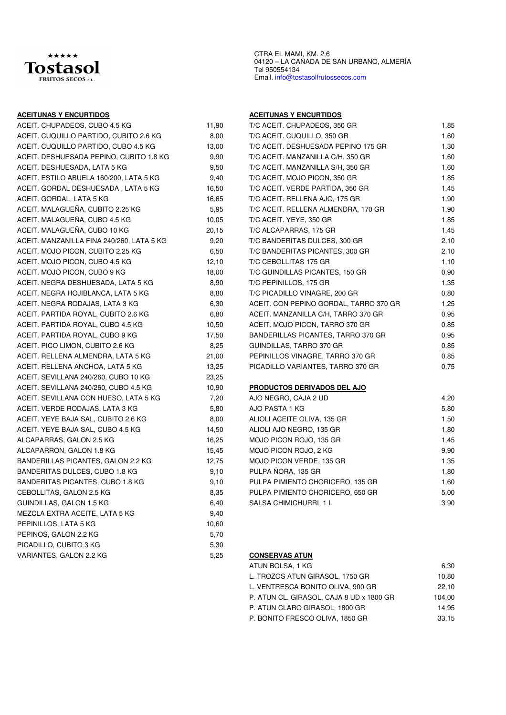

### **ACEITUNAS Y ENCURTIDOS ACEITUNAS Y ENCURTIDOS**

| ACEIT. CHUPADEOS, CUBO 4.5 KG             | 11,90 | T/C ACEIT. CHUPADEOS, 350 GR           | 1,85 |
|-------------------------------------------|-------|----------------------------------------|------|
| ACEIT. CUQUILLO PARTIDO, CUBITO 2.6 KG    | 8,00  | T/C ACEIT. CUQUILLO, 350 GR            | 1,60 |
| ACEIT. CUQUILLO PARTIDO, CUBO 4.5 KG      | 13,00 | T/C ACEIT. DESHUESADA PEPINO 175 GR    | 1,30 |
| ACEIT. DESHUESADA PEPINO, CUBITO 1.8 KG   | 9,90  | T/C ACEIT. MANZANILLA C/H, 350 GR      | 1,60 |
| ACEIT. DESHUESADA, LATA 5 KG              | 9,50  | T/C ACEIT. MANZANILLA S/H, 350 GR      | 1,60 |
| ACEIT. ESTILO ABUELA 160/200, LATA 5 KG   | 9,40  | T/C ACEIT. MOJO PICON, 350 GR          | 1,85 |
| ACEIT. GORDAL DESHUESADA, LATA 5 KG       | 16,50 | T/C ACEIT. VERDE PARTIDA, 350 GR       | 1,45 |
| ACEIT. GORDAL, LATA 5 KG                  | 16,65 | T/C ACEIT. RELLENA AJO, 175 GR         | 1,90 |
| ACEIT. MALAGUEÑA, CUBITO 2.25 KG          | 5,95  | T/C ACEIT. RELLENA ALMENDRA, 170 GR    | 1,90 |
| ACEIT. MALAGUEÑA, CUBO 4.5 KG             | 10,05 | T/C ACEIT. YEYE, 350 GR                | 1,85 |
| ACEIT. MALAGUEÑA, CUBO 10 KG              | 20,15 | T/C ALCAPARRAS, 175 GR                 | 1,45 |
| ACEIT. MANZANILLA FINA 240/260, LATA 5 KG | 9,20  | T/C BANDERITAS DULCES, 300 GR          | 2,10 |
| ACEIT. MOJO PICON, CUBITO 2.25 KG         | 6,50  | T/C BANDERITAS PICANTES, 300 GR        | 2,10 |
| ACEIT. MOJO PICON, CUBO 4.5 KG            | 12,10 | T/C CEBOLLITAS 175 GR                  | 1,10 |
| ACEIT. MOJO PICON, CUBO 9 KG              | 18,00 | T/C GUINDILLAS PICANTES, 150 GR        | 0,90 |
| ACEIT. NEGRA DESHUESADA, LATA 5 KG        | 8,90  | T/C PEPINILLOS, 175 GR                 | 1,35 |
| ACEIT. NEGRA HOJIBLANCA, LATA 5 KG        | 8,80  | T/C PICADILLO VINAGRE, 200 GR          | 0,80 |
| ACEIT. NEGRA RODAJAS, LATA 3 KG           | 6,30  | ACEIT. CON PEPINO GORDAL, TARRO 370 GR | 1,25 |
| ACEIT. PARTIDA ROYAL, CUBITO 2.6 KG       | 6,80  | ACEIT. MANZANILLA C/H, TARRO 370 GR    | 0,95 |
| ACEIT. PARTIDA ROYAL, CUBO 4.5 KG         | 10,50 | ACEIT. MOJO PICON, TARRO 370 GR        | 0,85 |
| ACEIT. PARTIDA ROYAL, CUBO 9 KG           | 17,50 | BANDERILLAS PICANTES, TARRO 370 GR     | 0,95 |
| ACEIT. PICO LIMON, CUBITO 2.6 KG          | 8,25  | GUINDILLAS, TARRO 370 GR               | 0,85 |
| ACEIT. RELLENA ALMENDRA, LATA 5 KG        | 21,00 | PEPINILLOS VINAGRE, TARRO 370 GR       | 0,85 |
| ACEIT. RELLENA ANCHOA, LATA 5 KG          | 13,25 | PICADILLO VARIANTES, TARRO 370 GR      | 0,75 |
| ACEIT. SEVILLANA 240/260, CUBO 10 KG      | 23,25 |                                        |      |
| ACEIT. SEVILLANA 240/260, CUBO 4.5 KG     | 10,90 | <b>PRODUCTOS DERIVADOS DEL AJO</b>     |      |
| ACEIT. SEVILLANA CON HUESO, LATA 5 KG     | 7,20  | AJO NEGRO, CAJA 2 UD                   | 4,20 |
| ACEIT. VERDE RODAJAS, LATA 3 KG           | 5,80  | AJO PASTA 1 KG                         | 5,80 |
| ACEIT. YEYE BAJA SAL, CUBITO 2.6 KG       | 8,00  | ALIOLI ACEITE OLIVA, 135 GR            | 1,50 |
| ACEIT. YEYE BAJA SAL, CUBO 4.5 KG         | 14,50 | ALIOLI AJO NEGRO, 135 GR               | 1,80 |
| ALCAPARRAS, GALON 2.5 KG                  | 16,25 | MOJO PICON ROJO, 135 GR                | 1,45 |
| ALCAPARRON, GALON 1.8 KG                  | 15,45 | MOJO PICON ROJO, 2 KG                  | 9,90 |
| BANDERILLAS PICANTES, GALON 2.2 KG        | 12,75 | MOJO PICON VERDE, 135 GR               | 1,35 |
| BANDERITAS DULCES, CUBO 1.8 KG            | 9,10  | PULPA ÑORA, 135 GR                     | 1,80 |
| <b>BANDERITAS PICANTES, CUBO 1.8 KG</b>   | 9,10  | PULPA PIMIENTO CHORICERO, 135 GR       | 1,60 |
| CEBOLLITAS, GALON 2.5 KG                  | 8,35  | PULPA PIMIENTO CHORICERO, 650 GR       | 5,00 |
| GUINDILLAS, GALON 1.5 KG                  | 6,40  | SALSA CHIMICHURRI, 1 L                 | 3,90 |
| MEZCLA EXTRA ACEITE, LATA 5 KG            | 9,40  |                                        |      |
| PEPINILLOS, LATA 5 KG                     | 10,60 |                                        |      |
| PEPINOS, GALON 2.2 KG                     | 5,70  |                                        |      |
| PICADILLO, CUBITO 3 KG                    | 5,30  |                                        |      |
| VARIANTES, GALON 2.2 KG                   | 5,25  | <b>CONSERVAS ATUN</b>                  |      |
|                                           |       |                                        |      |

CTRA EL MAMI, KM. 2,6 04120 – LA CAÑADA DE SAN URBANO, ALMERÍA Tel 950554134 Email. info@tostasolfrutossecos.com

| ACEIT. CHUPADEOS, CUBO 4.5 KG             | 11,90 | T/C ACEIT. CHUPADEOS, 350 GR           | 1,85 |
|-------------------------------------------|-------|----------------------------------------|------|
| ACEIT. CUQUILLO PARTIDO, CUBITO 2.6 KG    | 8,00  | T/C ACEIT. CUQUILLO, 350 GR            | 1,60 |
| ACEIT. CUQUILLO PARTIDO, CUBO 4.5 KG      | 13,00 | T/C ACEIT. DESHUESADA PEPINO 175 GR    | 1,30 |
| ACEIT. DESHUESADA PEPINO, CUBITO 1.8 KG   | 9,90  | T/C ACEIT. MANZANILLA C/H, 350 GR      | 1,60 |
| ACEIT. DESHUESADA, LATA 5 KG              | 9,50  | T/C ACEIT. MANZANILLA S/H, 350 GR      | 1,60 |
| ACEIT. ESTILO ABUELA 160/200, LATA 5 KG   | 9,40  | T/C ACEIT. MOJO PICON, 350 GR          | 1,85 |
| ACEIT. GORDAL DESHUESADA , LATA 5 KG      | 16,50 | T/C ACEIT. VERDE PARTIDA, 350 GR       | 1,45 |
| ACEIT. GORDAL, LATA 5 KG                  | 16,65 | T/C ACEIT. RELLENA AJO, 175 GR         | 1,90 |
| ACEIT. MALAGUEÑA, CUBITO 2.25 KG          | 5,95  | T/C ACEIT. RELLENA ALMENDRA, 170 GR    | 1,90 |
| ACEIT. MALAGUEÑA, CUBO 4.5 KG             | 10,05 | T/C ACEIT. YEYE, 350 GR                | 1,85 |
| ACEIT. MALAGUEÑA, CUBO 10 KG              | 20,15 | T/C ALCAPARRAS, 175 GR                 | 1,45 |
| ACEIT. MANZANILLA FINA 240/260, LATA 5 KG | 9,20  | T/C BANDERITAS DULCES, 300 GR          | 2,10 |
| ACEIT. MOJO PICON, CUBITO 2.25 KG         | 6,50  | T/C BANDERITAS PICANTES, 300 GR        | 2,10 |
| ACEIT. MOJO PICON, CUBO 4.5 KG            | 12,10 | T/C CEBOLLITAS 175 GR                  | 1,10 |
| ACEIT. MOJO PICON, CUBO 9 KG              | 18,00 | T/C GUINDILLAS PICANTES, 150 GR        | 0,90 |
| ACEIT. NEGRA DESHUESADA, LATA 5 KG        | 8,90  | T/C PEPINILLOS, 175 GR                 | 1,35 |
| ACEIT. NEGRA HOJIBLANCA, LATA 5 KG        | 8,80  | T/C PICADILLO VINAGRE, 200 GR          | 0,80 |
| ACEIT. NEGRA RODAJAS, LATA 3 KG           | 6,30  | ACEIT. CON PEPINO GORDAL, TARRO 370 GR | 1,25 |
| ACEIT. PARTIDA ROYAL, CUBITO 2.6 KG       | 6,80  | ACEIT. MANZANILLA C/H, TARRO 370 GR    | 0,95 |
| ACEIT. PARTIDA ROYAL, CUBO 4.5 KG         | 10,50 | ACEIT. MOJO PICON, TARRO 370 GR        | 0,85 |
| ACEIT. PARTIDA ROYAL, CUBO 9 KG           | 17,50 | BANDERILLAS PICANTES, TARRO 370 GR     | 0,95 |
| ACEIT. PICO LIMON, CUBITO 2.6 KG          | 8,25  | GUINDILLAS, TARRO 370 GR               | 0,85 |
| ACEIT. RELLENA ALMENDRA, LATA 5 KG        | 21,00 | PEPINILLOS VINAGRE, TARRO 370 GR       | 0,85 |
| ACEIT. RELLENA ANCHOA, LATA 5 KG          | 13,25 | PICADILLO VARIANTES, TARRO 370 GR      | 0,75 |
| ACEIT. SEVILLANA 240/260, CUBO 10 KG      | 23,25 |                                        |      |
| ACEIT. SEVILLANA 240/260, CUBO 4.5 KG     | 10,90 | PRODUCTOS DERIVADOS DEL AJO            |      |
| ACEIT. SEVILLANA CON HUESO, LATA 5 KG     | 7,20  | AJO NEGRO, CAJA 2 UD                   | 4,20 |
| ACEIT. VERDE RODAJAS, LATA 3 KG           | 5,80  | AJO PASTA 1 KG                         | 5,80 |
| ACEIT. YEYE BAJA SAL, CUBITO 2.6 KG       | 8,00  | ALIOLI ACEITE OLIVA, 135 GR            | 1,50 |
| ACEIT. YEYE BAJA SAL, CUBO 4.5 KG         | 14,50 | ALIOLI AJO NEGRO, 135 GR               | 1,80 |
| ALCAPARRAS, GALON 2.5 KG                  | 16,25 | MOJO PICON ROJO, 135 GR                | 1,45 |
| ALCAPARRON, GALON 1.8 KG                  | 15,45 | MOJO PICON ROJO, 2 KG                  | 9,90 |
| BANDERILLAS PICANTES, GALON 2.2 KG        | 12,75 | MOJO PICON VERDE, 135 GR               | 1,35 |
| BANDERITAS DULCES, CUBO 1.8 KG            | 9,10  | PULPA ÑORA, 135 GR                     | 1,80 |
| BANDERITAS PICANTES, CUBO 1.8 KG          | 9,10  | PULPA PIMIENTO CHORICERO, 135 GR       | 1,60 |

# 25 **CONSERVAS ATUN**

| ATUN BOLSA, 1 KG                         | 6.30   |
|------------------------------------------|--------|
|                                          |        |
| L. TROZOS ATUN GIRASOL. 1750 GR          | 10,80  |
| L. VENTRESCA BONITO OLIVA. 900 GR        | 22.10  |
| P. ATUN CL. GIRASOL, CAJA 8 UD x 1800 GR | 104.00 |
| P. ATUN CLARO GIRASOL. 1800 GR           | 14.95  |
| P. BONITO FRESCO OLIVA. 1850 GR          | 33.15  |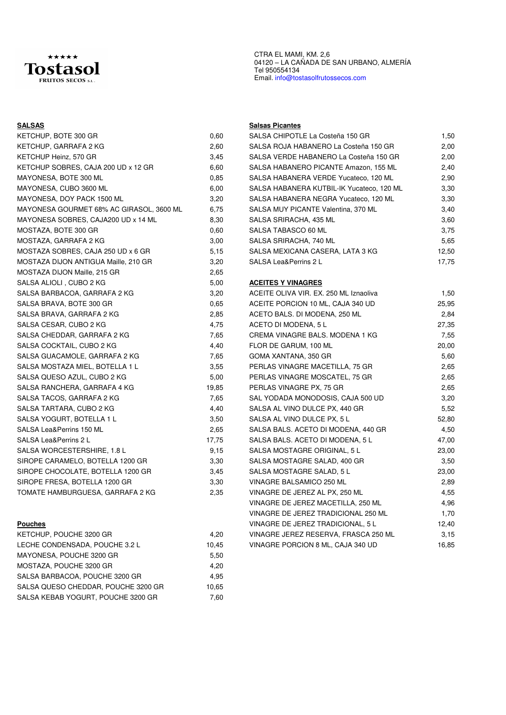

| KETCHUP, BOTE 300 GR                     | 0,60  | SALSA CHIPOTLE La C       |
|------------------------------------------|-------|---------------------------|
| KETCHUP, GARRAFA 2 KG                    | 2,60  | SALSA ROJA HABANE         |
| KETCHUP Heinz, 570 GR                    | 3,45  | SALSA VERDE HABAN         |
| KETCHUP SOBRES, CAJA 200 UD x 12 GR      | 6,60  | SALSA HABANERO PIO        |
| MAYONESA, BOTE 300 ML                    | 0,85  | SALSA HABANERA VE         |
| MAYONESA, CUBO 3600 ML                   | 6,00  | SALSA HABANERA KU         |
| MAYONESA, DOY PACK 1500 ML               | 3,20  | SALSA HABANERA NE         |
| MAYONESA GOURMET 68% AC GIRASOL, 3600 ML | 6,75  | SALSA MUY PICANTE         |
| MAYONESA SOBRES, CAJA200 UD x 14 ML      | 8,30  | SALSA SRIRACHA, 435       |
| MOSTAZA, BOTE 300 GR                     | 0,60  | SALSA TABASCO 60 M        |
| MOSTAZA, GARRAFA 2 KG                    | 3,00  | SALSA SRIRACHA, 740       |
| MOSTAZA SOBRES, CAJA 250 UD x 6 GR       | 5,15  | <b>SALSA MEXICANA CAS</b> |
| MOSTAZA DIJON ANTIGUA Maille, 210 GR     | 3,20  | SALSA Lea&Perrins 2 L     |
| MOSTAZA DIJON Maille, 215 GR             | 2,65  |                           |
| SALSA ALIOLI, CUBO 2 KG                  | 5,00  | <b>ACEITES Y VINAGRES</b> |
| SALSA BARBACOA, GARRAFA 2 KG             | 3,20  | ACEITE OLIVA VIR. EX      |
| SALSA BRAVA, BOTE 300 GR                 | 0,65  | ACEITE PORCION 10 N       |
| SALSA BRAVA, GARRAFA 2 KG                | 2,85  | ACETO BALS. DI MODI       |
| SALSA CESAR, CUBO 2 KG                   | 4,75  | ACETO DI MODENA, 5        |
| SALSA CHEDDAR, GARRAFA 2 KG              | 7,65  | <b>CREMA VINAGRE BAL</b>  |
| SALSA COCKTAIL, CUBO 2 KG                | 4,40  | FLOR DE GARUM, 100        |
| SALSA GUACAMOLE, GARRAFA 2 KG            | 7,65  | <b>GOMA XANTANA, 350</b>  |
| SALSA MOSTAZA MIEL, BOTELLA 1 L          | 3,55  | PERLAS VINAGRE MA         |
| SALSA QUESO AZUL, CUBO 2 KG              | 5,00  | PERLAS VINAGRE MO         |
| SALSA RANCHERA, GARRAFA 4 KG             | 19,85 | PERLAS VINAGRE PX,        |
| SALSA TACOS, GARRAFA 2 KG                | 7,65  | SAL YODADA MONOD          |
| SALSA TARTARA, CUBO 2 KG                 | 4,40  | SALSA AL VINO DULCI       |
| SALSA YOGURT, BOTELLA 1 L                | 3,50  | SALSA AL VINO DULCI       |
| SALSA Lea&Perrins 150 ML                 | 2,65  | SALSA BALS. ACETO I       |
| SALSA Lea&Perrins 2 L                    | 17,75 | SALSA BALS. ACETO I       |
| SALSA WORCESTERSHIRE, 1.8 L              | 9,15  | SALSA MOSTAGRE OF         |
| SIROPE CARAMELO, BOTELLA 1200 GR         | 3,30  | SALSA MOSTAGRE SA         |
| SIROPE CHOCOLATE, BOTELLA 1200 GR        | 3,45  | SALSA MOSTAGRE SA         |
| SIROPE FRESA, BOTELLA 1200 GR            | 3,30  | <b>VINAGRE BALSAMICO</b>  |
| TOMATE HAMBURGUESA, GARRAFA 2 KG         | 2,35  | VINAGRE DE JEREZ A        |
|                                          |       |                           |

| KETCHUP, POUCHE 3200 GR             | 4.20  |
|-------------------------------------|-------|
| LECHE CONDENSADA, POUCHE 3.2 L      | 10.45 |
| MAYONESA, POUCHE 3200 GR            | 5.50  |
| MOSTAZA, POUCHE 3200 GR             | 4.20  |
| SALSA BARBACOA, POUCHE 3200 GR      | 4.95  |
| SALSA QUESO CHEDDAR, POUCHE 3200 GR | 10.65 |
| SALSA KEBAB YOGURT, POUCHE 3200 GR  | 7.60  |

CTRA EL MAMI, KM. 2,6 04120 – LA CAÑADA DE SAN URBANO, ALMERÍA Tel 950554134 Email. info@tostasolfrutossecos.com

# **SALSAS Salsas Picantes**

| KETCHUP, BOTE 300 GR                     | 0,60  | SALSA CHIPOTLE La Costeña 150 GR          | 1,50  |
|------------------------------------------|-------|-------------------------------------------|-------|
| KETCHUP, GARRAFA 2 KG                    | 2,60  | SALSA ROJA HABANERO La Costeña 150 GR     | 2,00  |
| KETCHUP Heinz, 570 GR                    | 3,45  | SALSA VERDE HABANERO La Costeña 150 GR    | 2,00  |
| KETCHUP SOBRES, CAJA 200 UD x 12 GR      | 6,60  | SALSA HABANERO PICANTE Amazon, 155 ML     | 2,40  |
| MAYONESA, BOTE 300 ML                    | 0,85  | SALSA HABANERA VERDE Yucateco, 120 ML     | 2,90  |
| MAYONESA, CUBO 3600 ML                   | 6,00  | SALSA HABANERA KUTBIL-IK Yucateco, 120 ML | 3,30  |
| MAYONESA, DOY PACK 1500 ML               | 3,20  | SALSA HABANERA NEGRA Yucateco, 120 ML     | 3,30  |
| MAYONESA GOURMET 68% AC GIRASOL, 3600 ML | 6,75  | SALSA MUY PICANTE Valentina, 370 ML       | 3,40  |
| MAYONESA SOBRES, CAJA200 UD x 14 ML      | 8,30  | SALSA SRIRACHA, 435 ML                    | 3,60  |
| MOSTAZA, BOTE 300 GR                     | 0.60  | SALSA TABASCO 60 ML                       | 3,75  |
| MOSTAZA, GARRAFA 2 KG                    | 3,00  | SALSA SRIRACHA, 740 ML                    | 5,65  |
| MOSTAZA SOBRES, CAJA 250 UD x 6 GR       | 5,15  | SALSA MEXICANA CASERA, LATA 3 KG          | 12,50 |
| MOSTAZA DIJON ANTIGUA Maille, 210 GR     | 3,20  | SALSA Lea&Perrins 2 L                     | 17,75 |
| MOSTAZA DIJON Maille, 215 GR             | 2,65  |                                           |       |
| SALSA ALIOLI , CUBO 2 KG                 | 5,00  | <b>ACEITES Y VINAGRES</b>                 |       |
| SALSA BARBACOA, GARRAFA 2 KG             | 3,20  | ACEITE OLIVA VIR. EX. 250 ML Iznaoliva    | 1,50  |
| SALSA BRAVA, BOTE 300 GR                 | 0,65  | ACEITE PORCION 10 ML, CAJA 340 UD         | 25,95 |
| SALSA BRAVA, GARRAFA 2 KG                | 2,85  | ACETO BALS. DI MODENA, 250 ML             | 2,84  |
| SALSA CESAR, CUBO 2 KG                   | 4,75  | ACETO DI MODENA, 5 L                      | 27,35 |
| SALSA CHEDDAR, GARRAFA 2 KG              | 7,65  | CREMA VINAGRE BALS. MODENA 1 KG           | 7,55  |
| SALSA COCKTAIL, CUBO 2 KG                | 4,40  | FLOR DE GARUM, 100 ML                     | 20,00 |
| SALSA GUACAMOLE, GARRAFA 2 KG            | 7,65  | GOMA XANTANA, 350 GR                      | 5,60  |
| SALSA MOSTAZA MIEL, BOTELLA 1 L          | 3,55  | PERLAS VINAGRE MACETILLA, 75 GR           | 2,65  |
| SALSA QUESO AZUL, CUBO 2 KG              | 5,00  | PERLAS VINAGRE MOSCATEL, 75 GR            | 2,65  |
| SALSA RANCHERA, GARRAFA 4 KG             | 19,85 | PERLAS VINAGRE PX, 75 GR                  | 2,65  |
| SALSA TACOS, GARRAFA 2 KG                | 7,65  | SAL YODADA MONODOSIS, CAJA 500 UD         | 3,20  |
| SALSA TARTARA, CUBO 2 KG                 | 4,40  | SALSA AL VINO DULCE PX, 440 GR            | 5,52  |
| SALSA YOGURT, BOTELLA 1 L                | 3,50  | SALSA AL VINO DULCE PX, 5 L               | 52,80 |
| SALSA Lea&Perrins 150 ML                 | 2,65  | SALSA BALS. ACETO DI MODENA, 440 GR       | 4,50  |
| SALSA Lea&Perrins 2 L                    | 17,75 | SALSA BALS. ACETO DI MODENA, 5 L          | 47,00 |
| SALSA WORCESTERSHIRE, 1.8 L              | 9,15  | SALSA MOSTAGRE ORIGINAL, 5 L              | 23,00 |
| SIROPE CARAMELO, BOTELLA 1200 GR         | 3,30  | SALSA MOSTAGRE SALAD, 400 GR              | 3,50  |
| SIROPE CHOCOLATE, BOTELLA 1200 GR        | 3,45  | SALSA MOSTAGRE SALAD, 5 L                 | 23,00 |
| SIROPE FRESA, BOTELLA 1200 GR            | 3,30  | VINAGRE BALSAMICO 250 ML                  | 2,89  |
| TOMATE HAMBURGUESA, GARRAFA 2 KG         | 2,35  | VINAGRE DE JEREZ AL PX, 250 ML            | 4,55  |
|                                          |       | VINAGRE DE JEREZ MACETILLA, 250 ML        | 4,96  |
|                                          |       | VINAGRE DE JEREZ TRADICIONAL 250 ML       | 1,70  |
| Pouches                                  |       | VINAGRE DE JEREZ TRADICIONAL, 5 L         | 12,40 |
| KETCHUP, POUCHE 3200 GR                  | 4,20  | VINAGRE JEREZ RESERVA, FRASCA 250 ML      | 3,15  |
| LECHE CONDENSADA, POUCHE 3.2 L           | 10,45 | VINAGRE PORCION 8 ML, CAJA 340 UD         | 16,85 |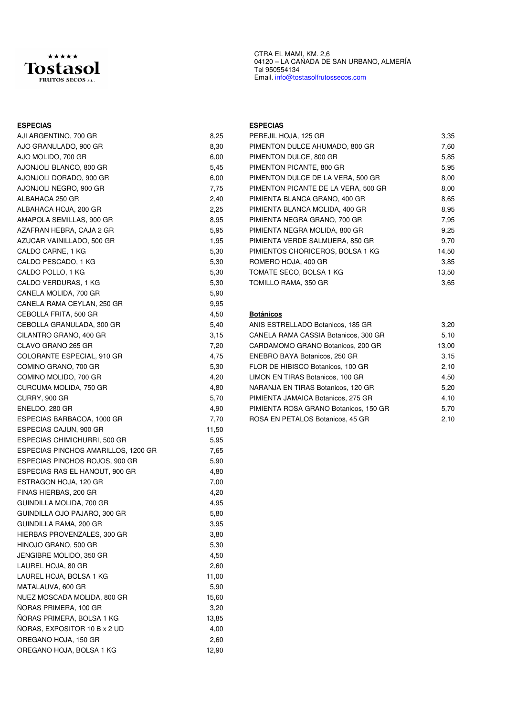

# Tel 950554134 Email. info@tostasolfrutossecos.com

CTRA EL MAMI, KM. 2,6

04120 – LA CAÑADA DE SAN URBANO, ALMERÍA

| <b>ESPECIAS</b>                     |       | <b>ESPECIAS</b>  |
|-------------------------------------|-------|------------------|
| AJI ARGENTINO, 700 GR               | 8,25  | PEREJIL H        |
| AJO GRANULADO, 900 GR               | 8,30  | <b>PIMENTON</b>  |
| AJO MOLIDO, 700 GR                  | 6,00  | <b>PIMENTON</b>  |
| AJONJOLI BLANCO, 800 GR             | 5,45  | <b>PIMENTON</b>  |
| AJONJOLI DORADO, 900 GR             | 6,00  | <b>PIMENTON</b>  |
| AJONJOLI NEGRO, 900 GR              | 7,75  | <b>PIMENTON</b>  |
| ALBAHACA 250 GR                     | 2,40  | PIMIENTA I       |
| ALBAHACA HOJA, 200 GR               | 2,25  | <b>PIMIENTA</b>  |
| AMAPOLA SEMILLAS, 900 GR            | 8,95  | PIMIENTA I       |
| AZAFRAN HEBRA, CAJA 2 GR            | 5,95  | PIMIENTA I       |
| AZUCAR VAINILLADO, 500 GR           | 1,95  | PIMIENTA '       |
| CALDO CARNE, 1 KG                   | 5,30  | <b>PIMIENTOS</b> |
| CALDO PESCADO, 1 KG                 | 5,30  | ROMERO H         |
| CALDO POLLO, 1 KG                   | 5,30  | <b>TOMATE S</b>  |
| CALDO VERDURAS, 1 KG                | 5,30  | <b>TOMILLO F</b> |
| CANELA MOLIDA, 700 GR               | 5,90  |                  |
| CANELA RAMA CEYLAN, 250 GR          | 9,95  |                  |
| CEBOLLA FRITA, 500 GR               | 4,50  | <b>Botánicos</b> |
| CEBOLLA GRANULADA, 300 GR           | 5,40  | ANIS ESTR        |
| CILANTRO GRANO, 400 GR              | 3,15  | CANELA R         |
| CLAVO GRANO 265 GR                  | 7,20  | CARDAMO          |
| COLORANTE ESPECIAL, 910 GR          | 4,75  | <b>ENEBRO B</b>  |
| COMINO GRANO, 700 GR                | 5,30  | FLOR DE H        |
| COMINO MOLIDO, 700 GR               | 4,20  | <b>LIMON EN</b>  |
| CURCUMA MOLIDA, 750 GR              | 4,80  | NARANJA I        |
| CURRY, 900 GR                       | 5,70  | PIMIENTA,        |
| ENELDO, 280 GR                      | 4,90  | <b>PIMIENTA</b>  |
| ESPECIAS BARBACOA, 1000 GR          | 7,70  | ROSA EN F        |
| ESPECIAS CAJUN, 900 GR              | 11,50 |                  |
| ESPECIAS CHIMICHURRI, 500 GR        | 5,95  |                  |
| ESPECIAS PINCHOS AMARILLOS, 1200 GR | 7,65  |                  |
| ESPECIAS PINCHOS ROJOS, 900 GR      | 5,90  |                  |
| ESPECIAS RAS EL HANOUT, 900 GR      | 4,80  |                  |
| ESTRAGON HOJA, 120 GR               | 7,00  |                  |
| FINAS HIERBAS, 200 GR               | 4,20  |                  |
| GUINDILLA MOLIDA, 700 GR            | 4,95  |                  |
| GUINDILLA OJO PAJARO, 300 GR        | 5,80  |                  |
| GUINDILLA RAMA, 200 GR              | 3,95  |                  |
| HIERBAS PROVENZALES, 300 GR         | 3,80  |                  |
| HINOJO GRANO, 500 GR                | 5,30  |                  |
| JENGIBRE MOLIDO, 350 GR             | 4,50  |                  |
| LAUREL HOJA, 80 GR                  | 2,60  |                  |
| LAUREL HOJA, BOLSA 1 KG             | 11,00 |                  |
| MATALAUVA, 600 GR                   | 5,90  |                  |
| NUEZ MOSCADA MOLIDA, 800 GR         | 15,60 |                  |
| ÑORAS PRIMERA, 100 GR               | 3,20  |                  |
| NORAS PRIMERA, BOLSA 1 KG           | 13,85 |                  |
| NORAS, EXPOSITOR 10 B x 2 UD        | 4,00  |                  |
| OREGANO HOJA, 150 GR                | 2,60  |                  |
| OREGANO HOJA, BOLSA 1 KG            | 12,90 |                  |

| AJI ARGENTINO, 700 GR     | 8,25 | PEREJIL HOJA, 125 GR                | 3,35  |
|---------------------------|------|-------------------------------------|-------|
| AJO GRANULADO, 900 GR     | 8,30 | PIMENTON DULCE AHUMADO, 800 GR      | 7,60  |
| AJO MOLIDO, 700 GR        | 6.00 | PIMENTON DULCE, 800 GR              | 5,85  |
| AJONJOLI BLANCO, 800 GR   | 5,45 | PIMENTON PICANTE, 800 GR            | 5,95  |
| AJONJOLI DORADO, 900 GR   | 6.00 | PIMENTON DULCE DE LA VERA, 500 GR   | 8,00  |
| AJONJOLI NEGRO, 900 GR    | 7,75 | PIMENTON PICANTE DE LA VERA, 500 GR | 8,00  |
| ALBAHACA 250 GR           | 2,40 | PIMIENTA BLANCA GRANO, 400 GR       | 8,65  |
| ALBAHACA HOJA, 200 GR     | 2,25 | PIMIENTA BLANCA MOLIDA, 400 GR      | 8,95  |
| AMAPOLA SEMILLAS, 900 GR  | 8,95 | PIMIENTA NEGRA GRANO, 700 GR        | 7,95  |
| AZAFRAN HEBRA, CAJA 2 GR  | 5,95 | PIMIENTA NEGRA MOLIDA, 800 GR       | 9,25  |
| AZUCAR VAINILLADO, 500 GR | 1,95 | PIMIENTA VERDE SALMUERA, 850 GR     | 9,70  |
| CALDO CARNE, 1 KG         | 5,30 | PIMIENTOS CHORICEROS, BOLSA 1 KG    | 14,50 |
| CALDO PESCADO, 1 KG       | 5,30 | ROMERO HOJA, 400 GR                 | 3,85  |
| CALDO POLLO, 1 KG         | 5,30 | TOMATE SECO, BOLSA 1 KG             | 13,50 |
| CALDO VERDURAS, 1 KG      | 5,30 | TOMILLO RAMA, 350 GR                | 3,65  |
|                           |      |                                     |       |

### Botánicos

| 5,40 |                                       | 3,20                              |
|------|---------------------------------------|-----------------------------------|
| 3,15 | CANELA RAMA CASSIA Botanicos, 300 GR  | 5,10                              |
| 7,20 | CARDAMOMO GRANO Botanicos, 200 GR     | 13.00                             |
| 4,75 | ENEBRO BAYA Botanicos, 250 GR         | 3.15                              |
| 5,30 | FLOR DE HIBISCO Botanicos, 100 GR     | 2.10                              |
| 4.20 | LIMON EN TIRAS Botanicos, 100 GR      | 4.50                              |
| 4.80 | NARANJA EN TIRAS Botanicos, 120 GR    | 5,20                              |
| 5,70 | PIMIENTA JAMAICA Botanicos, 275 GR    | 4.10                              |
| 4,90 | PIMIENTA ROSA GRANO Botanicos, 150 GR | 5.70                              |
| 7,70 | ROSA EN PETALOS Botanicos, 45 GR      | 2.10                              |
|      |                                       | ANIS ESTRELLADO Botanicos, 185 GR |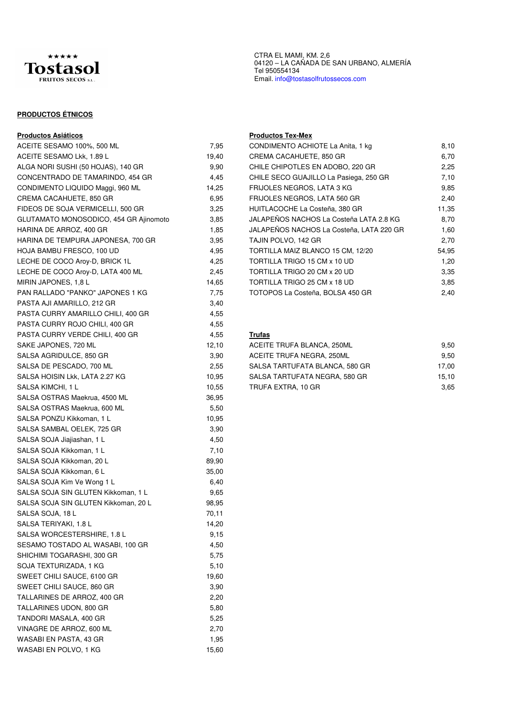

# **PRODUCTOS ÉTNICOS**

| ACEITE SESAMO 100%, 500 ML             | 7,95  | COND          |
|----------------------------------------|-------|---------------|
| ACEITE SESAMO Lkk, 1.89 L              | 19,40 | <b>CREM</b>   |
| ALGA NORI SUSHI (50 HOJAS), 140 GR     | 9,90  | CHILE         |
| CONCENTRADO DE TAMARINDO, 454 GR       | 4,45  | <b>CHILE</b>  |
| CONDIMENTO LIQUIDO Maggi, 960 ML       | 14,25 | <b>FRIJO</b>  |
| CREMA CACAHUETE, 850 GR                | 6,95  | <b>FRIJO</b>  |
| FIDEOS DE SOJA VERMICELLI, 500 GR      | 3,25  | <b>HUITL</b>  |
| GLUTAMATO MONOSODICO, 454 GR Ajinomoto | 3,85  | JALAP         |
| HARINA DE ARROZ, 400 GR                | 1,85  | <b>JALAP</b>  |
| HARINA DE TEMPURA JAPONESA, 700 GR     | 3.95  | TAJIN         |
| HOJA BAMBU FRESCO, 100 UD              | 4,95  | <b>TORTI</b>  |
| LECHE DE COCO Aroy-D, BRICK 1L         | 4,25  | TORTI         |
| LECHE DE COCO Aroy-D, LATA 400 ML      | 2,45  | TORTI         |
| MIRIN JAPONES, 1,8 L                   | 14,65 | TORTI         |
| PAN RALLADO "PANKO" JAPONES 1 KG       | 7,75  | <b>TOTOI</b>  |
| PASTA AJI AMARILLO, 212 GR             | 3,40  |               |
| PASTA CURRY AMARILLO CHILI, 400 GR     | 4,55  |               |
| PASTA CURRY ROJO CHILI, 400 GR         | 4,55  |               |
| PASTA CURRY VERDE CHILI, 400 GR        | 4,55  | <u>Trufas</u> |
| SAKE JAPONES, 720 ML                   | 12,10 | ACEIT         |
| SALSA AGRIDULCE, 850 GR                | 3.90  | <b>ACEIT</b>  |
| SALSA DE PESCADO, 700 ML               | 2,55  | <b>SALSA</b>  |
| SALSA HOISIN Lkk, LATA 2.27 KG         | 10,95 | <b>SALSA</b>  |
| SALSA KIMCHI, 1 L                      | 10,55 | <b>TRUFA</b>  |
| SALSA OSTRAS Maekrua, 4500 ML          | 36,95 |               |
| SALSA OSTRAS Maekrua, 600 ML           | 5,50  |               |
| SALSA PONZU Kikkoman, 1 L              | 10,95 |               |
| SALSA SAMBAL OELEK, 725 GR             | 3,90  |               |
| SALSA SOJA Jiajiashan, 1 L             | 4,50  |               |
| SALSA SOJA Kikkoman, 1 L               | 7,10  |               |
| SALSA SOJA Kikkoman, 20 L              | 89,90 |               |
| SALSA SOJA Kikkoman, 6 L               | 35,00 |               |
| SALSA SOJA Kim Ve Wong 1 L             | 6,40  |               |
| SALSA SOJA SIN GLUTEN Kikkoman, 1 L    | 9,65  |               |
| SALSA SOJA SIN GLUTEN Kikkoman, 20 L   | 98,95 |               |
| SALSA SOJA, 18 L                       | 70,11 |               |
| SALSA TERIYAKI, 1.8 L                  | 14,20 |               |
| SALSA WORCESTERSHIRE, 1.8 L            | 9,15  |               |
| SESAMO TOSTADO AL WASABI, 100 GR       | 4,50  |               |
| SHICHIMI TOGARASHI, 300 GR             | 5,75  |               |
| SOJA TEXTURIZADA, 1 KG                 | 5,10  |               |
| SWEET CHILI SAUCE, 6100 GR             | 19,60 |               |
| SWEET CHILI SAUCE, 860 GR              | 3,90  |               |
| TALLARINES DE ARROZ, 400 GR            | 2,20  |               |
| TALLARINES UDON, 800 GR                | 5,80  |               |
| TANDORI MASALA, 400 GR                 | 5,25  |               |
| VINAGRE DE ARROZ, 600 ML               | 2,70  |               |
| WASABI EN PASTA, 43 GR                 | 1,95  |               |
| WASABI EN POLVO, 1 KG                  | 15,60 |               |

CTRA EL MAMI, KM. 2,6 04120 – LA CAÑADA DE SAN URBANO, ALMERÍA Tel 950554134 Email. info@tostasolfrutossecos.com

### **Productos Asiáticos Productos Tex-Mex**

| ACEITE SESAMO 100%, 500 ML             | 7,95  | CONDIMENTO ACHIOTE La Anita, 1 kg        | 8,10  |
|----------------------------------------|-------|------------------------------------------|-------|
| ACEITE SESAMO Lkk, 1.89 L              | 19,40 | CREMA CACAHUETE, 850 GR                  | 6,70  |
| ALGA NORI SUSHI (50 HOJAS), 140 GR     | 9.90  | CHILE CHIPOTLES EN ADOBO, 220 GR         | 2,25  |
| CONCENTRADO DE TAMARINDO, 454 GR       | 4,45  | CHILE SECO GUAJILLO La Pasiega, 250 GR   | 7,10  |
| CONDIMENTO LIQUIDO Maggi, 960 ML       | 14,25 | FRIJOLES NEGROS, LATA 3 KG               | 9,85  |
| CREMA CACAHUETE, 850 GR                | 6,95  | FRIJOLES NEGROS, LATA 560 GR             | 2,40  |
| FIDEOS DE SOJA VERMICELLI, 500 GR      | 3,25  | HUITLACOCHE La Costeña, 380 GR           | 11,35 |
| GLUTAMATO MONOSODICO, 454 GR Ajinomoto | 3,85  | JALAPEÑOS NACHOS La Costeña LATA 2.8 KG  | 8.70  |
| HARINA DE ARROZ, 400 GR                | 1,85  | JALAPEÑOS NACHOS La Costeña, LATA 220 GR | 1,60  |
| HARINA DE TEMPURA JAPONESA, 700 GR     | 3,95  | TAJIN POLVO, 142 GR                      | 2,70  |
| HOJA BAMBU FRESCO, 100 UD              | 4,95  | TORTILLA MAIZ BLANCO 15 CM, 12/20        | 54,95 |
| LECHE DE COCO Aroy-D, BRICK 1L         | 4,25  | TORTILLA TRIGO 15 CM x 10 UD             | 1,20  |
| LECHE DE COCO Aroy-D, LATA 400 ML      | 2,45  | TORTILLA TRIGO 20 CM x 20 UD             | 3,35  |
| MIRIN JAPONES, 1,8 L                   | 14,65 | TORTILLA TRIGO 25 CM x 18 UD             | 3,85  |
| PAN RALLADO "PANKO" JAPONES 1 KG       | 7,75  | TOTOPOS La Costeña, BOLSA 450 GR         | 2,40  |
|                                        |       |                                          |       |

| SAKE JAPONES, 720 ML           | 12.10 | ACEITE TRUFA BLANCA, 250ML     | 9.50  |
|--------------------------------|-------|--------------------------------|-------|
| SALSA AGRIDULCE. 850 GR        | 3.90  | ACEITE TRUFA NEGRA. 250ML      | 9.50  |
| SALSA DE PESCADO. 700 ML       | 2.55  | SALSA TARTUFATA BLANCA. 580 GR | 17.00 |
| SALSA HOISIN Lkk. LATA 2.27 KG | 10.95 | SALSA TARTUFATA NEGRA, 580 GR  | 15.10 |
| SALSA KIMCHI. 1 L              | 10.55 | TRUFA EXTRA, 10 GR             | 3,65  |
|                                |       |                                |       |